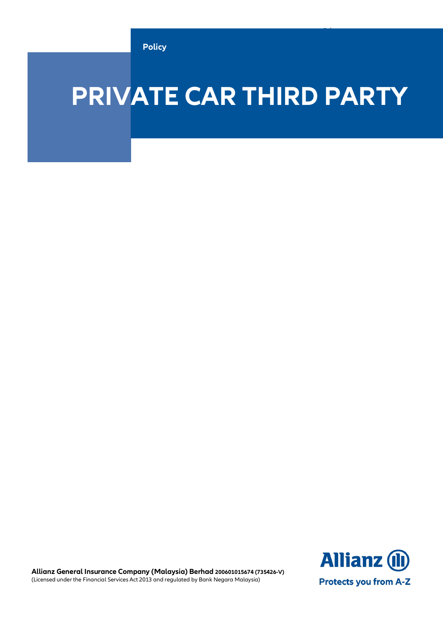**Policy**

# **PRIVATE CAR THIRD PARTY**

**Allianz (II) Protects you from A-Z** 

**Private Car Third Party Policy**

**Allianz General Insurance Company (Malaysia) Berhad 200601015674 (735426-V)** (Licensed under the Financial Services Act 2013 and regulated by Bank Negara Malaysia)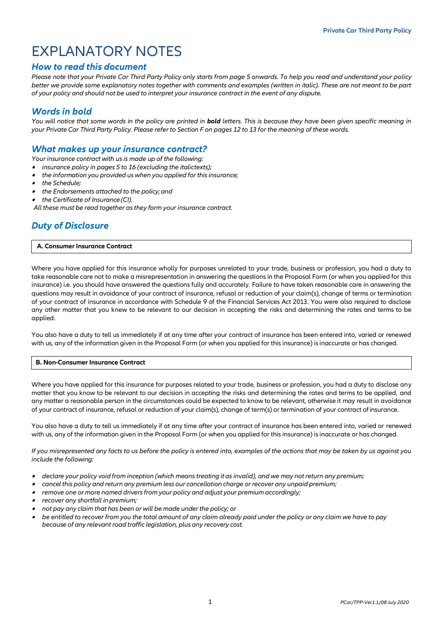# EXPLANATORY NOTES

## *How to read this document*

*Please note that your Private Car Third Party Policy only starts from page 5 onwards. To help you read and understand your policy better we provide some explanatory notes together with comments and examples (written in italic). These are not meant to be part of your policy and should not be used to interpret your insurance contract in the event of any dispute.*

## *Words in bold*

You will notice that some words in the policy are printed in **bold** letters. This is because they have been given specific meaning in *your Private Car Third Party Policy. Please refer to Section F on pages 12 to 13 for the meaning of these words.*

## *What makes up your insurance contract?*

*Your insurance contract with us is made up of the following:*

- . *insurance policy in pages 5 to 16 (excluding the italictexts);*
- . *the information you provided us when you applied for this insurance;*
- $\bullet$ *the Schedule;*
- . *the Endorsements attached to the policy;and*
- . *the Certificate of Insurance(CI).*
- *All these must be read together as they form your insurance contract.*

## *Duty of Disclosure*

#### **A. Consumer Insurance Contract**

Where you have applied for this insurance wholly for purposes unrelated to your trade, business or profession, you had a duty to take reasonable care not to make a misrepresentation in answering the questions in the Proposal Form (or when you applied for this insurance) i.e. you should have answered the questions fully and accurately. Failure to have taken reasonable care in answering the questions may result in avoidance of your contract of insurance, refusal or reduction of your claim(s), change of terms or termination of your contract of insurance in accordance with Schedule 9 of the Financial Services Act 2013. You were also required to disclose any other matter that you knew to be relevant to our decision in accepting the risks and determining the rates and terms to be applied.

You also have a duty to tell us immediately if at any time after your contract of insurance has been entered into, varied or renewed with us, any of the information given in the Proposal Form (or when you applied for this insurance) is inaccurate or has changed.

#### **B. Non-Consumer Insurance Contract**

Where you have applied for this insurance for purposes related to your trade, business or profession, you had a duty to disclose any matter that you know to be relevant to our decision in accepting the risks and determining the rates and terms to be applied, and any matter a reasonable person in the circumstances could be expected to know to be relevant, otherwise it may result in avoidance of your contract of insurance, refusal or reduction of your claim(s), change of term(s) or termination of your contract ofinsurance.

You also have a duty to tell us immediately if at any time after your contract of insurance has been entered into, varied or renewed with us, any of the information given in the Proposal Form (or when you applied for this insurance) is inaccurate or has changed.

*If you misrepresented any facts to us before the policy is entered into, examples of the actions that may be taken by us against you include the following:*

- . declare your policy void from inception (which means treating it as invalid), and we may not return any premium;
- . *cancel this policy and return any premium less our cancellation charge or recover any unpaid premium;*
- . *remove one or more named drivers from your policy and adjust your premium accordingly;*
- . *recover any shortfall inpremium;*
- . *not pay any claim that has been or will be made under the policy; or*
- . *be entitled to recover from you the total amount of any claim already paid under the policy or any claim we have to pay because of any relevant road traffic legislation, plus any recovery cost.*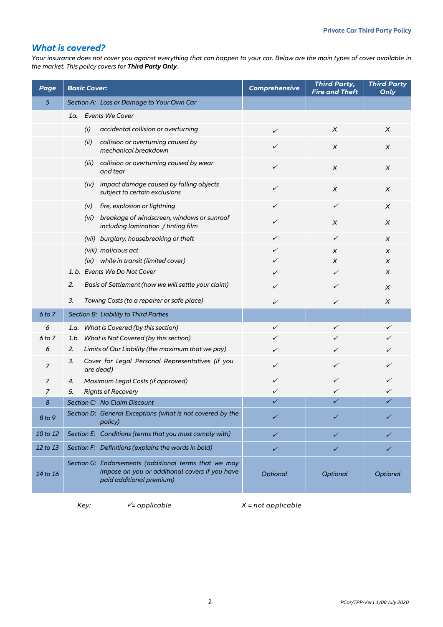## *What is covered?*

*Your insurance does not cover you against everything that can happen to your car. Below are the main types of cover available in the market. This policy covers for Third Party Only.*

| Page           | <b>Basic Cover:</b>                                                                                                                 | <b>Comprehensive</b> | <b>Third Party,</b><br><b>Fire and Theft</b> | <b>Third Party</b><br>Only |
|----------------|-------------------------------------------------------------------------------------------------------------------------------------|----------------------|----------------------------------------------|----------------------------|
| 5              | Section A: Loss or Damage to Your Own Car                                                                                           |                      |                                              |                            |
|                | 1a. Events We Cover                                                                                                                 |                      |                                              |                            |
|                | (i)<br>accidental collision or overturning                                                                                          | $\checkmark$         | X                                            | X                          |
|                | (ii)<br>collision or overturning caused by<br>mechanical breakdown                                                                  | ✓                    | X                                            | $\chi$                     |
|                | (iii) collision or overturning caused by wear<br>and tear                                                                           | ✓                    | $\chi$                                       | X                          |
|                | (iv) impact damage caused by falling objects<br>subject to certain exclusions                                                       | ✓                    | $\chi$                                       | X                          |
|                | (v) fire, explosion or lightning                                                                                                    | ✓                    | ✓                                            | X                          |
|                | (vi) breakage of windscreen, windows or sunroof<br>including lamination / tinting film                                              | ✓                    | X                                            | X                          |
|                | (vii) burglary, housebreaking or theft                                                                                              | ✓                    | ✓                                            | X                          |
|                | (viii) malicious act                                                                                                                | ✓                    | X                                            | X                          |
|                | (ix) while in transit (limited cover)                                                                                               | ✓                    | X                                            | X                          |
|                | 1. b. Events We Do Not Cover                                                                                                        | ✓                    | ✓                                            | $\chi$                     |
|                | 2.<br>Basis of Settlement (how we will settle your claim)                                                                           | ✓                    | ✓                                            | X                          |
|                | 3.<br>Towing Costs (to a repairer or safe place)                                                                                    | $\checkmark$         | ✓                                            | X                          |
| 6 to 7         | Section B: Liability to Third Parties                                                                                               |                      |                                              |                            |
| 6              | What is Covered (by this section)<br>1.a.                                                                                           | $\checkmark$         | ✓                                            | ✓                          |
| 6 to 7         | What is Not Covered (by this section)<br>1.b.                                                                                       | ✓                    | ✓                                            |                            |
| 6              | 2.<br>Limits of Our Liability (the maximum that we pay)                                                                             | ✓                    | ✓                                            | ✓                          |
| $\overline{z}$ | Cover for Legal Personal Representatives (if you<br>3.<br>are dead)                                                                 | ✓                    | ✓                                            | ✓                          |
| 7              | Maximum Legal Costs (if approved)<br>4.                                                                                             | ✓                    | ✓                                            | ✓                          |
| 7              | <b>Rights of Recovery</b><br>5.                                                                                                     | ✓                    |                                              | ✓                          |
| 8              | Section C: No Claim Discount                                                                                                        | ✓                    | ✓                                            | ✓                          |
| 8 to 9         | Section D: General Exceptions (what is not covered by the<br>policy)                                                                | ✓                    |                                              | ✓                          |
| 10 to 12       | Section E: Conditions (terms that you must comply with)                                                                             | ✓                    | ✓                                            | ✓                          |
| 12 to 13       | Section F: Definitions (explains the words in bold)                                                                                 | ✓                    | ✓                                            | ✓                          |
| 14 to 16       | Section G: Endorsements (additional terms that we may<br>impose on you or additional covers if you have<br>paid additional premium) | Optional             | Optional                                     | Optional                   |

 $Key:$   $\checkmark$  = applicable  $X$  = not applicable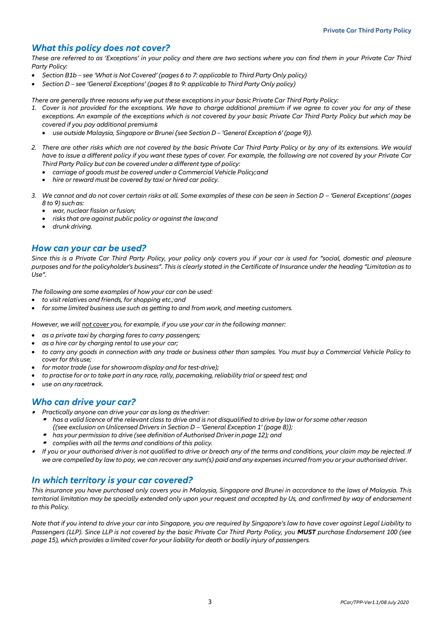## *What this policy does not cover?*

*These are referred to as 'Exceptions' in your policy and there are two sections where you can find them in your Private Car Third Party Policy:*

- *Section B1b – see 'What is Not Covered' (pages 6 to 7: applicable to Third Party Only policy)*
- *Section D – see 'General Exceptions' (pages 8 to 9: applicable to Third Party Only policy)*

*There are generally three reasons why we put these exceptions in your basic Private Car Third Party Policy:*

- *1. Cover is not provided for the exceptions. We have to charge additional premium if we agree to cover you for any of these exceptions. An example of the exceptions which is not covered by your basic Private Car Third Party Policy but which may be covered if you pay additional premiumis*
	- *use outside Malaysia, Singapore or Brunei{see Section D– 'General Exception 6' (page 9)}.*
- *2. There are other risks which are not covered by the basic Private Car Third Party Policy or by any of its extensions. We would have to issue a different policy if you want these types of cover. For example, the following are not covered by your Private Car Third Party Policy but can be covered under a different type of policy:*
	- *carriage of goods must be covered under a Commercial Vehicle Policy;and*
	- *hire or reward must be covered by taxi or hired car policy.*
- 3. We cannot and do not cover certain risks at all. Some examples of these can be seen in Section D 'General Exceptions' (pages *8 to 9) suchas:*
	- *war, nuclear fission orfusion;*
	- *risks that are against public policy or against the law;and*
	- *drunk driving.*

## *How can your car be used?*

*Since this is a Private Car Third Party Policy, your policy only covers you if your car is used for "social, domestic and pleasure purposes and for the policyholder's business". This is clearly stated in the Certificate of Insurance under the heading "Limitation as to Use".*

*The following are some examples of how your car can be used:*

- *to visit relatives and friends, for shopping etc.;and*
- *for some limited business use such as getting to and from work, and meeting customers.*

*However, we will not cover you, for example, if you use your car in the following manner:*

- *as a private taxi by charging fares to carry passengers;*
- *as a hire car by charging rental to use your car;*
- *to carry any goods in connection with any trade or business other than samples. You must buy a Commercial Vehicle Policy to cover for thisuse;*
- *for motor trade (use for showroom display and for test-drive);*
- to practise for or to take part in any race, rally, pacemaking, reliability trial or speed test; and
- *use on any racetrack.*

## *Who can drive your car?*

- . *Practically anyone can drive your car as long as thedriver:*
	- ø has a valid licence of the relevant class to drive and is not disqualified to drive by law or for some other reason *{(see exclusion on Unlicensed Drivers in Section D – 'General Exception 1' (page 8)};*
	- *has your permission to drive (see definition of Authorised Driverin page 12); and*
	- *complies with all the terms and conditions of this policy.*
- . *If you or your authorised driver is not qualified to drive or breach any of the terms and conditions, your claim may be rejected. If we are compelled by law to pay, we can recover any sum(s) paid and any expenses incurred from you or your authorised driver.*

## *In which territory is your car covered?*

*This insurance you have purchased only covers you in Malaysia, Singapore and Brunei in accordance to the laws of Malaysia. This territorial limitation may be specially extended only upon your request and accepted by Us, and confirmed by way of endorsement to this Policy.* 

*Note that if you intend to drive your car into Singapore, you are required by Singapore's law to have cover against Legal Liability to Passengers (LLP). Since LLP is not covered by the basic Private Car Third Party Policy, you MUST purchase Endorsement 100 (see page 15), which provides a limited cover for your liability for death or bodily injury of passengers.*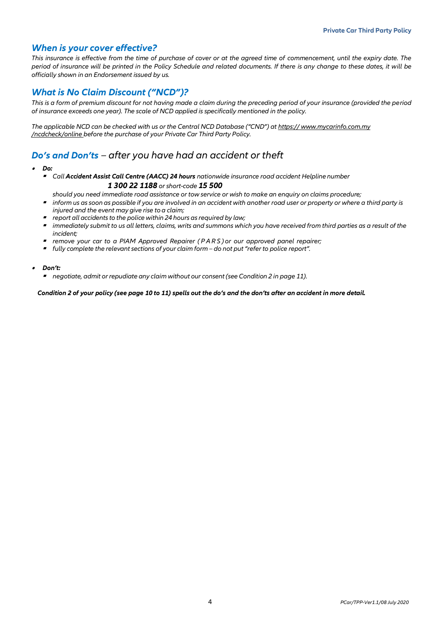## *When is your cover effective?*

*This insurance is effective from the time of purchase of cover or at the agreed time of commencement, until the expiry date. The period of insurance will be printed in the Policy Schedule and related documents. If there is any change to these dates, it will be officially shown in an Endorsement issued by us.*

## *What is No Claim Discount ("NCD")?*

*This is a form of premium discount for not having made a claim during the preceding period of your insurance (provided the period of insurance exceeds one year). The scale of NCD applied is specifically mentioned in the policy.*

*The applicable NCD can be checked with us or the Central NCD Database ("CND") at https:/[/ www.mycarinfo.com.my](http://www.mycarinfo.com.my/) /ncdcheck/online before the purchase of your Private Car Third Party Policy.*

## *Do's and Don'ts – after you have had an accident or theft*

- . *Do:*
	- *Call Accident Assist Call Centre (AACC) 24 hours nationwide insurance road accident Helpline number 1 300 22 1188 or short-code 15 500*
	- *should you need immediate road assistance or tow service or wish to make an enquiry on claims procedure;*
	- *inform us as soon as possible if you are involved in an accident with another road user or property or where a third party is injured and the event may give rise to a claim;*
	- *report all accidents to the police within 24 hours as required by law;*
	- *immediately submit to us all letters, claims, writs and summons which you have received from third parties as a result of the incident;*
	- *remove your car to a PIAM Approved Repairer ( P A R S ) or our approved panel repairer;*
	- *fully complete the relevant sections of your claim form – do not put"refer to police report".*
- . *Don't:*
	- *negotiate, admit or repudiate any claim without our consent (see Condition 2 in page 11).*

#### *Condition 2 of your policy (see page 10 to 11) spells out the do's and the don'ts after an accident in more detail.*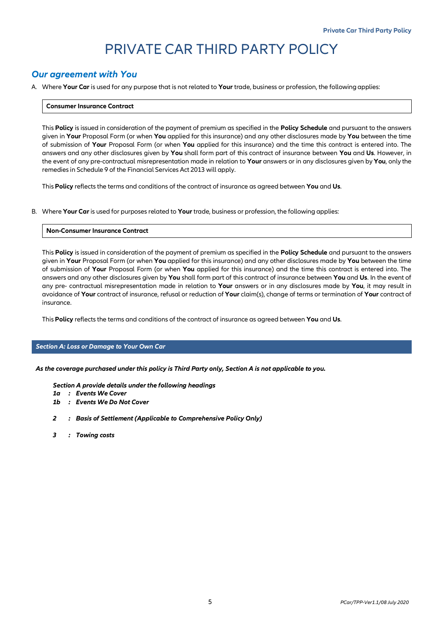# PRIVATE CAR THIRD PARTY POLICY

## *Our agreement with You*

A. Where **Your Car** is used for any purpose that is not related to **Your** trade, business or profession, the following applies:

#### **Consumer Insurance Contract**

This **Policy** is issued in consideration of the payment of premium as specified in the **Policy Schedule** and pursuant to the answers given in **Your** Proposal Form (or when **You** applied for this insurance) and any other disclosures made by **You** between the time of submission of **Your** Proposal Form (or when **You** applied for this insurance) and the time this contract is entered into. The answers and any other disclosures given by **You** shall form part of this contract of insurance between **You** and **Us**. However, in the event of any pre-contractual misrepresentation made in relation to **Your** answers or in any disclosures given by **You**, only the remedies in Schedule 9 of the Financial Services Act 2013 will apply.

This **Policy** reflects the terms and conditions of the contract of insurance as agreed between **You** and **Us**.

B. Where **Your Car**is used for purposes related to **Your** trade, business or profession, the following applies:

#### **Non-Consumer Insurance Contract**

This **Policy** is issued in consideration of the payment of premium as specified in the **Policy Schedule** and pursuant to the answers given in **Your** Proposal Form (or when **You** applied for this insurance) and any other disclosures made by **You** between the time of submission of **Your** Proposal Form (or when **You** applied for this insurance) and the time this contract is entered into. The answers and any other disclosures given by **You** shall form part of this contract of insurance between **You** and **Us**. In the event of any pre- contractual misrepresentation made in relation to **Your** answers or in any disclosures made by **You**, it may result in avoidance of **Your** contract of insurance, refusal or reduction of **Your** claim(s), change of terms or termination of **Your** contract of insurance.

This **Policy** reflects the terms and conditions of the contract of insurance as agreed between **You** and **Us**.

#### *Section A: Loss or Damage to Your Own Car*

*As the coverage purchased under this policy is Third Party only, Section A is not applicable to you.* 

*Section A provide details under the following headings*

- *1a : Events We Cover*
- *1b : Events We Do Not Cover*
- *2 : Basis of Settlement (Applicable to Comprehensive Policy Only)*
- *3 : Towing costs*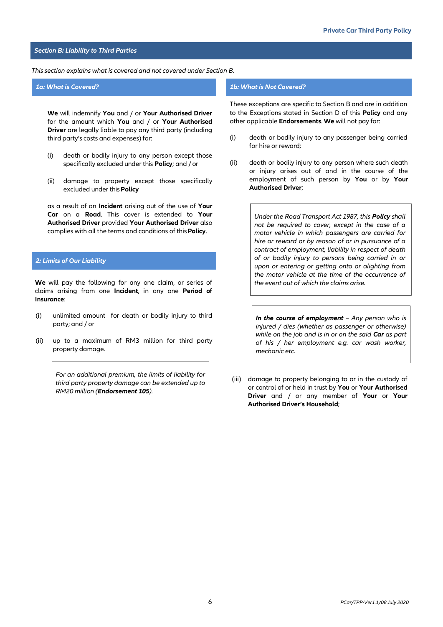#### *Section B: Liability to Third Parties*

#### *This section explains what is covered and not covered under Section B.*

**We** will indemnify **You** and / or **Your Authorised Driver**  for the amount which **You** and / or **Your Authorised Driver** are legally liable to pay any third party (including third party's costs and expenses) for:

- (i) death or bodily injury to any person except those specifically excluded under this **Policy**; and / or
- (ii) damage to property except those specifically excluded under this**Policy**

as a result of an **Incident** arising out of the use of **Your Car** on a **Road**. This cover is extended to **Your Authorised Driver** provided **Your Authorised Driver** also complies with all the terms and conditions of this**Policy**.

#### *2: Limits of Our Liability*

**We** will pay the following for any one claim, or series of claims arising from one **Incident**, in any one **Period of Insurance**:

- (i) unlimited amount for death or bodily injury to third party; and / or
- (ii) up to a maximum of RM3 million for third party property damage.

*For an additional premium, the limits of liability for third party property damage can be extended up to RM20 million (Endorsement 105).* 

#### *1a: What is Covered? 1b: What is Not Covered?*

These exceptions are specific to Section B and are in addition to the Exceptions stated in Section D of this **Policy** and any other applicable **Endorsements**. **We** will not pay for:

- (i) death or bodily injury to any passenger being carried for hire or reward;
- (ii) death or bodily injury to any person where such death or injury arises out of and in the course of the employment of such person by **You** or by **Your Authorised Driver**;

*Under the Road Transport Act 1987, this Policy shall not be required to cover, except in the case of a motor vehicle in which passengers are carried for hire or reward or by reason of or in pursuance of a contract of employment, liability in respect of death of or bodily injury to persons being carried in or upon or entering or getting onto or alighting from the motor vehicle at the time of the occurrence of the event out of which the claims arise.*

*In the course of employment – Any person who is injured / dies (whether as passenger or otherwise) while on the job and is in or on the said Car as part of his / her employment e.g. car wash worker, mechanic etc.*

(iii) damage to property belonging to or in the custody of or control of or held in trust by **You** or **Your Authorised Driver** and / or any member of **Your** or **Your Authorised Driver's Household**;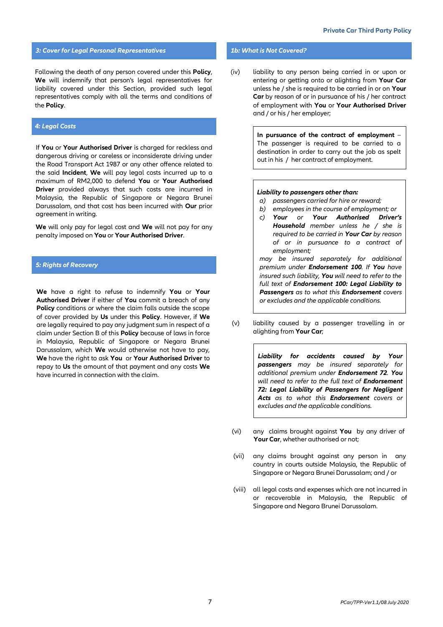#### *3: Cover for Legal Personal Representatives 1b: What is Not Covered?*

Following the death of any person covered under this **Policy**, **We** will indemnify that person's legal representatives for liability covered under this Section, provided such legal representatives comply with all the terms and conditions of the **Policy**.

#### *4: Legal Costs*

If **You** or **Your Authorised Driver** is charged for reckless and dangerous driving or careless or inconsiderate driving under the Road Transport Act 1987 or any other offence related to the said **Incident**, **We** will pay legal costs incurred up to a maximum of RM2,000 to defend **You** or **Your Authorised Driver** provided always that such costs are incurred in Malaysia, the Republic of Singapore or Negara Brunei Darussalam, and that cost has been incurred with **Our** prior agreement in writing.

**We** will only pay for legal cost and **We** will not pay for any penalty imposed on **You** or **Your Authorised Driver**.

#### *5: Rights of Recovery*

**We** have a right to refuse to indemnify **You** or **Your Authorised Driver** if either of **You** commit a breach of any **Policy** conditions or where the claim falls outside the scope of cover provided by **Us** under this **Policy**. However, if **We** are legally required to pay any judgment sum in respect of a claim under Section B of this **Policy** because of laws in force in Malaysia, Republic of Singapore or Negara Brunei Darussalam, which **We** would otherwise not have to pay, **We** have the right to ask **You** or **Your Authorised Driver** to repay to **Us** the amount of that payment and any costs **We** have incurred in connection with the claim.

(iv) liability to any person being carried in or upon or entering or getting onto or alighting from **Your Car** unless he / she is required to be carried in or on **Your Car** by reason of or in pursuance of his / her contract of employment with **You** or **Your Authorised Driver** and / or his / her employer;

> **In pursuance of the contract of employment** – The passenger is required to be carried to a destination in order to carry out the job as spelt out in his / her contract of employment.

#### *Liability to passengers other than:*

- *a) passengers carried for hire or reward;*
- *b) employees in the course of employment; or*
- *c) Your or Your Authorised Driver's Household member unless he / she is required to be carried in Your Car by reason of or in pursuance to a contract of employment;*

*may be insured separately for additional premium under Endorsement 100. If You have insured such liability, You will need to refer to the full text of Endorsement 100: Legal Liability to Passengers as to what this Endorsement covers or excludes and the applicable conditions.* 

(v) liability caused by a passenger travelling in or alighting from **Your Car**;

> *Liability for accidents caused by Your passengers may be insured separately for additional premium under Endorsement 72. You will need to refer to the full text of Endorsement 72: Legal Liability of Passengers for Negligent Acts as to what this Endorsement covers or excludes and the applicable conditions.*

- (vi) any claims brought against **You** by any driver of **Your Car**, whether authorised or not;
- (vii) any claims brought against any person in any country in courts outside Malaysia, the Republic of Singapore or Negara Brunei Darussalam; and / or
- (viii) all legal costs and expenses which are not incurred in or recoverable in Malaysia, the Republic of Singapore and Negara Brunei Darussalam.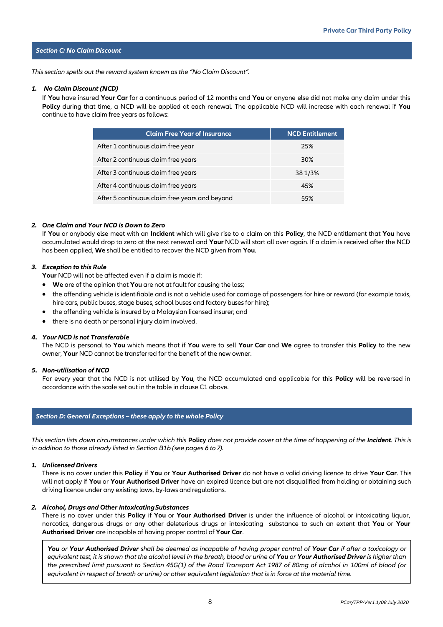#### *Section C: No Claim Discount*

*This section spells out the reward system known as the "No Claim Discount".*

#### *1. No Claim Discount (NCD)*

If **You** have insured **Your Car** for a continuous period of 12 months and **You** or anyone else did not make any claim under this **Policy** during that time, a NCD will be applied at each renewal. The applicable NCD will increase with each renewal if **You** continue to have claim free years as follows:

| <b>Claim Free Year of Insurance</b>            | <b>NCD Entitlement</b> |
|------------------------------------------------|------------------------|
| After 1 continuous claim free year             | 25%                    |
| After 2 continuous claim free years            | 30%                    |
| After 3 continuous claim free years            | 38 1/3%                |
| After 4 continuous claim free years            | 45%                    |
| After 5 continuous claim free years and beyond | 55%                    |

#### *2. One Claim and Your NCD is Down to Zero*

If **You** or anybody else meet with an **Incident** which will give rise to a claim on this **Policy**, the NCD entitlement that **You** have accumulated would drop to zero at the next renewal and **Your** NCD will start all over again. If a claim is received after the NCD has been applied, **We** shall be entitled to recover the NCD given from **You**.

#### *3. Exception to this Rule*

**Your** NCD will not be affected even if a claim is made if:

- **We** are of the opinion that **You** are not at fault for causing the loss;
- the offending vehicle is identifiable and is not a vehicle used for carriage of passengers for hire or reward (for example taxis, hire cars, public buses, stage buses, school buses and factory buses for hire);
- the offending vehicle is insured by a Malaysian licensed insurer; and
- there is no death or personal injury claim involved.

#### *4. Your NCD is not Transferable*

The NCD is personal to **You** which means that if **You** were to sell **Your Car** and **We** agree to transfer this **Policy** to the new owner, **Your** NCD cannot be transferred for the benefit of the new owner.

#### *5. Non-utilisation of NCD*

For every year that the NCD is not utilised by **You**, the NCD accumulated and applicable for this **Policy** will be reversed in accordance with the scale set out in the table in clause C1 above.

#### *Section D: General Exceptions – these apply to the whole Policy*

*This section lists down circumstances under which this* **Policy** *does not provide cover at the time of happening of the Incident. This is in addition to those already listed in Section B1b (see pages 6 to 7).*

#### *1. UnlicensedDrivers*

There is no cover under this **Policy** if **You** or **Your Authorised Driver** do not have a valid driving licence to drive **Your Car**. This will not apply if **You** or **Your Authorised Driver** have an expired licence but are not disqualified from holding or obtaining such driving licence under any existing laws, by-laws and regulations.

#### *2. Alcohol, Drugs and Other IntoxicatingSubstances*

There is no cover under this **Policy** if **You** or **Your Authorised Driver** is under the influence of alcohol or intoxicating liquor, narcotics, dangerous drugs or any other deleterious drugs or intoxicating substance to such an extent that **You** or **Your Authorised Driver** are incapable of having proper control of **Your Car**.

*You or Your Authorised Driver shall be deemed as incapable of having proper control of Your Car if after a toxicology or equivalent test, it is shown that the alcohol level in the breath, blood or urine of You or Your Authorised Driver is higher than the prescribed limit pursuant to Section 45G(1) of the Road Transport Act 1987 of 80mg of alcohol in 100ml of blood (or equivalent in respect of breath or urine) or other equivalent legislation that is in force at the material time.*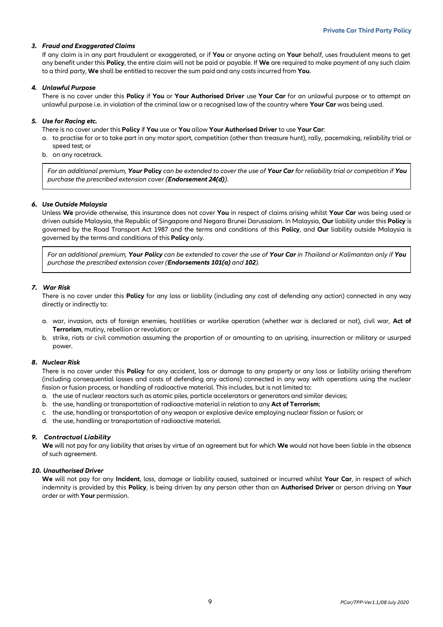#### *3. Fraud and Exaggerated Claims*

If any claim is in any part fraudulent or exaggerated, or if **You** or anyone acting on **Your** behalf, uses fraudulent means to get any benefit under this **Policy**, the entire claim will not be paid or payable. If **We** are required to make payment of any such claim to a third party, **We** shall be entitled to recover the sum paid and any costs incurred from **You**.

#### *4. Unlawful Purpose*

There is no cover under this **Policy** if **You** or **Your Authorised Driver** use **Your Car** for an unlawful purpose or to attempt an unlawful purpose i.e. in violation of the criminal law or a recognised law of the country where **Your Car** was being used.

#### *5. Use for Racing etc.*

There is no cover under this **Policy** if **You** use or **You** allow **Your Authorised Driver** to use **Your Car**:

- a. to practise for or to take part in any motor sport, competition (other than treasure hunt), rally, pacemaking, reliability trial or speed test; or
- b. on any racetrack.

*For an additional premium, Your* **Policy** *can be extended to cover the use of Your Car for reliability trial or competition if You purchase the prescribed extension cover {Endorsement 24(d)}.*

#### *6. Use Outside Malaysia*

Unless **We** provide otherwise, this insurance does not cover **You** in respect of claims arising whilst **Your Car** was being used or driven outside Malaysia, the Republic of Singapore and Negara Brunei Darussalam. In Malaysia, **Our** liability under this **Policy** is governed by the Road Transport Act 1987 and the terms and conditions of this **Policy**, and **Our** liability outside Malaysia is governed by the terms and conditions of this **Policy** only.

*For an additional premium, Your Policy can be extended to cover the use of Your Car in Thailand or Kalimantan only if You purchase the prescribed extension cover (Endorsements 101(a) and 102).*

#### *7. War Risk*

There is no cover under this **Policy** for any loss or liability (including any cost of defending any action) connected in any way directly or indirectly to:

- a. war, invasion, acts of foreign enemies, hostilities or warlike operation (whether war is declared or not), civil war, **Act of Terrorism**, mutiny, rebellion or revolution; or
- b. strike, riots or civil commotion assuming the proportion of or amounting to an uprising, insurrection or military or usurped power.

#### *8. Nuclear Risk*

There is no cover under this **Policy** for any accident, loss or damage to any property or any loss or liability arising therefrom (including consequential losses and costs of defending any actions) connected in any way with operations using the nuclear fission or fusion process, or handling of radioactive material. This includes, but is not limited to:

- a. the use of nuclear reactors such as atomic piles, particle accelerators or generators and similar devices;
- b. the use, handling or transportation of radioactive material in relation to any **Act of Terrorism**;
- c. the use, handling or transportation of any weapon or explosive device employing nuclear fission or fusion; or
- d. the use, handling or transportation of radioactive material.

#### *9. Contractual Liability*

**We** will not pay for any liability that arises by virtue of an agreement but for which **We** would not have been liable in the absence of such agreement.

#### *10. Unauthorised Driver*

**We** will not pay for any **Incident**, loss, damage or liability caused, sustained or incurred whilst **Your Car**, in respect of which indemnity is provided by this **Policy**, is being driven by any person other than an **Authorised Driver** or person driving on **Your** order or with **Your** permission.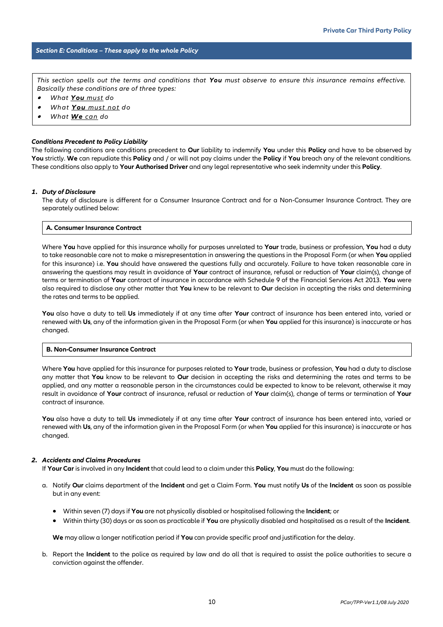#### *Section E: Conditions – These apply to the whole Policy*

*This section spells out the terms and conditions that You must observe to ensure this insurance remains effective. Basically these conditions are of three types:*

- $\overline{\phantom{a}}$ *What You must do*
- . *What You must not do*
- . *What We can do*

#### *Conditions Precedent to Policy Liability*

The following conditions are conditions precedent to **Our** liability to indemnify **You** under this **Policy** and have to be observed by **You** strictly. **We** can repudiate this **Policy** and / or will not pay claims under the **Policy** if **You** breach any of the relevant conditions. These conditions also apply to **Your Authorised Driver** and any legal representative who seek indemnity under this **Policy**.

#### *1. Duty of Disclosure*

The duty of disclosure is different for a Consumer Insurance Contract and for a Non-Consumer Insurance Contract. They are separately outlined below:

#### **A. Consumer Insurance Contract**

Where **You** have applied for this insurance wholly for purposes unrelated to **Your** trade, business or profession, **You** had a duty to take reasonable care not to make a misrepresentation in answering the questions in the Proposal Form (or when **You** applied for this insurance) i.e. **You** should have answered the questions fully and accurately. Failure to have taken reasonable care in answering the questions may result in avoidance of **Your** contract of insurance, refusal or reduction of **Your** claim(s), change of terms or termination of **Your** contract of insurance in accordance with Schedule 9 of the Financial Services Act 2013. **You** were also required to disclose any other matter that **You** knew to be relevant to **Our** decision in accepting the risks and determining the rates and terms to be applied.

**You** also have a duty to tell **Us** immediately if at any time after **Your** contract of insurance has been entered into, varied or renewed with **Us**, any of the information given in the Proposal Form (or when **You** applied for this insurance) is inaccurate or has changed.

#### **B. Non-Consumer Insurance Contract**

Where **You** have applied for this insurance for purposes related to **Your** trade, business or profession, **You** had a duty to disclose any matter that **You** know to be relevant to **Our** decision in accepting the risks and determining the rates and terms to be applied, and any matter a reasonable person in the circumstances could be expected to know to be relevant, otherwise it may result in avoidance of **Your** contract of insurance, refusal or reduction of **Your** claim(s), change of terms or termination of **Your** contract of insurance.

**You** also have a duty to tell **Us** immediately if at any time after **Your** contract of insurance has been entered into, varied or renewed with **Us**, any of the information given in the Proposal Form (or when **You** applied for this insurance) is inaccurate or has changed.

#### *2. Accidents and Claims Procedures*

If **Your Car** is involved in any **Incident** that could lead to a claim under this **Policy**, **You** must do the following:

- a. Notify **Our** claims department of the **Incident** and get a Claim Form. **You** must notify **Us** of the **Incident** as soon as possible but in any event:
	- Within seven (7) days if **You** are not physically disabled or hospitalised following the **Incident**; or
	- Within thirty (30) days or as soon as practicable if **You** are physically disabled and hospitalised as a result of the **Incident**.

**We** may allow a longer notification period if **You** can provide specific proof and justification for the delay.

b. Report the **Incident** to the police as required by law and do all that is required to assist the police authorities to secure a conviction against the offender.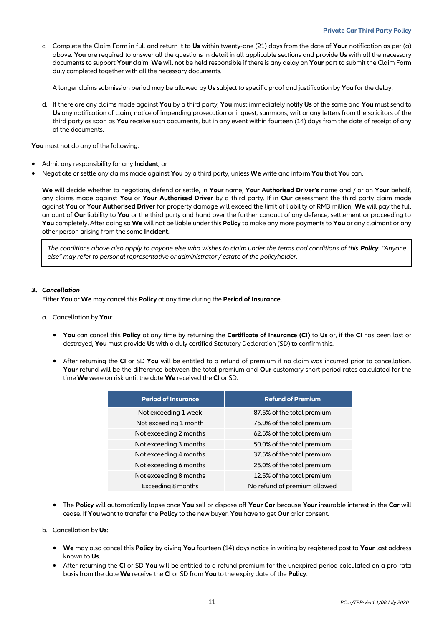c. Complete the Claim Form in full and return it to **Us** within twenty-one (21) days from the date of **Your** notification as per (a) above. **You** are required to answer all the questions in detail in all applicable sections and provide **Us** with all the necessary documents to support **Your** claim. **We** will not be held responsible if there is any delay on **Your** part to submit the Claim Form duly completed together with all the necessary documents.

A longer claims submission period may be allowed by **Us** subject to specific proof and justification by **You** for the delay.

d. If there are any claims made against **You** by a third party, **You** must immediately notify **Us** of the same and **You** must send to **Us** any notification of claim, notice of impending prosecution or inquest, summons, writ or any letters from the solicitors of the third party as soon as **You** receive such documents, but in any event within fourteen (14) days from the date of receipt of any of the documents.

**You** must not do any of the following:

- Admit any responsibility for any **Incident**; or
- Negotiate or settle any claims made against **You** by a third party, unless **We** write and inform **You** that **You** can.

**We** will decide whether to negotiate, defend or settle, in **Your** name, **Your Authorised Driver's** name and / or on **Your** behalf, any claims made against **You** or **Your Authorised Driver** by a third party. If in **Our** assessment the third party claim made against **You** or **Your Authorised Driver** for property damage will exceed the limit of liability of RM3 million, **We** will pay the full amount of **Our** liability to **You** or the third party and hand over the further conduct of any defence, settlement or proceeding to **You** completely. After doing so **We** will not be liable under this **Policy** to make any more payments to **You** or any claimant or any other person arising from the same **Incident**.

*The conditions above also apply to anyone else who wishes to claim under the terms and conditions of this Policy. "Anyone else" may refer to personal representative or administrator / estate of the policyholder.*

#### *3. Cancellation*

Either **You** or **We** may cancel this **Policy** at any time during the **Period of Insurance**.

- a. Cancellation by **You**:
	- **You** can cancel this **Policy** at any time by returning the **Certificate of Insurance (CI)** to **Us** or, if the **CI** has been lost or destroyed, **You** must provide **Us** with a duly certified Statutory Declaration (SD) to confirm this.
	- After returning the **CI** or SD **You** will be entitled to a refund of premium if no claim was incurred prior to cancellation. **Your** refund will be the difference between the total premium and **Our** customary short-period rates calculated for the time **We** were on risk until the date **We** received the **CI** or SD:

| <b>Period of Insurance</b> | <b>Refund of Premium</b>     |  |
|----------------------------|------------------------------|--|
| Not exceeding 1 week       | 87.5% of the total premium   |  |
| Not exceeding 1 month      | 75.0% of the total premium   |  |
| Not exceeding 2 months     | 62.5% of the total premium   |  |
| Not exceeding 3 months     | 50.0% of the total premium   |  |
| Not exceeding 4 months     | 37.5% of the total premium   |  |
| Not exceeding 6 months     | 25.0% of the total premium   |  |
| Not exceeding 8 months     | 12.5% of the total premium   |  |
| Exceeding 8 months         | No refund of premium allowed |  |
|                            |                              |  |

- The **Policy** will automatically lapse once **You** sell or dispose off **Your Car** because **Your** insurable interest in the **Car** will cease. If **You** want to transfer the **Policy** to the new buyer, **You** have to get **Our** prior consent.
- b. Cancellation by **Us**:
	- **We** may also cancel this **Policy** by giving **You** fourteen (14) days notice in writing by registered post to **Your** last address known to **Us**.
	- After returning the **CI** or SD **You** will be entitled to a refund premium for the unexpired period calculated on a pro-rata basis from the date **We** receive the **CI** or SD from **You** to the expiry date of the **Policy**.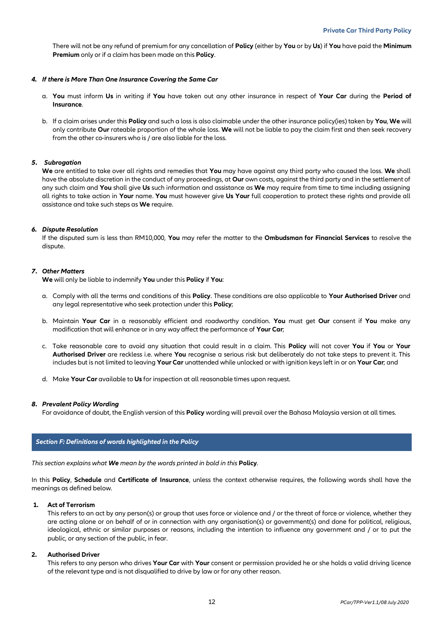There will not be any refund of premium for any cancellation of **Policy** (either by **You** or by **Us**) if **You** have paid the **Minimum Premium** only or if a claim has been made on this **Policy**.

#### *4. If there is More Than One Insurance Covering the Same Car*

- a. **You** must inform **Us** in writing if **You** have taken out any other insurance in respect of **Your Car** during the **Period of Insurance**.
- b. If a claim arises under this **Policy** and such a loss is also claimable under the other insurance policy(ies) taken by **You**, **We** will only contribute **Our** rateable proportion of the whole loss. **We** will not be liable to pay the claim first and then seek recovery from the other co-insurers who is / are also liable for the loss.

#### *5. Subrogation*

**We** are entitled to take over all rights and remedies that **You** may have against any third party who caused the loss. **We** shall have the absolute discretion in the conduct of any proceedings, at **Our** own costs, against the third party and in the settlement of any such claim and **You** shall give **Us** such information and assistance as **We** may require from time to time including assigning all rights to take action in **Your** name. **You** must however give **Us Your** full cooperation to protect these rights and provide all assistance and take such steps as **We** require.

#### *6. Dispute Resolution*

If the disputed sum is less than RM10,000, **You** may refer the matter to the **Ombudsman for Financial Services** to resolve the dispute.

#### *7. Other Matters*

**We** will only be liable to indemnify **You** under this **Policy** if **You**:

- a. Comply with all the terms and conditions of this **Policy**. These conditions are also applicable to **Your Authorised Driver** and any legal representative who seek protection under this **Policy**;
- b. Maintain **Your Car** in a reasonably efficient and roadworthy condition. **You** must get **Our** consent if **You** make any modification that will enhance or in any way affect the performance of **Your Car**;
- c. Take reasonable care to avoid any situation that could result in a claim. This **Policy** will not cover **You** if **You** or **Your Authorised Driver** are reckless i.e. where **You** recognise a serious risk but deliberately do not take steps to prevent it. This includes but is not limited to leaving **Your Car** unattended while unlocked or with ignition keys left in or on **Your Car**; and
- d. Make **Your Car** available to **Us** for inspection at all reasonable times upon request.

#### *8. Prevalent Policy Wording*

For avoidance of doubt, the English version of this **Policy** wording will prevail over the Bahasa Malaysia version at all times.

#### *Section F: Definitions of words highlighted in the Policy*

*This section explains what We mean by the words printed in bold in this* **Policy***.*

In this **Policy**, **Schedule** and **Certificate of Insurance**, unless the context otherwise requires, the following words shall have the meanings as defined below.

#### **1. Act of Terrorism**

This refers to an act by any person(s) or group that uses force or violence and / or the threat of force or violence, whether they are acting alone or on behalf of or in connection with any organisation(s) or government(s) and done for political, religious, ideological, ethnic or similar purposes or reasons, including the intention to influence any government and / or to put the public, or any section of the public, in fear.

#### **2. Authorised Driver**

This refers to any person who drives **Your Car** with **Your** consent or permission provided he or she holds a valid driving licence of the relevant type and is not disqualified to drive by law or for any other reason.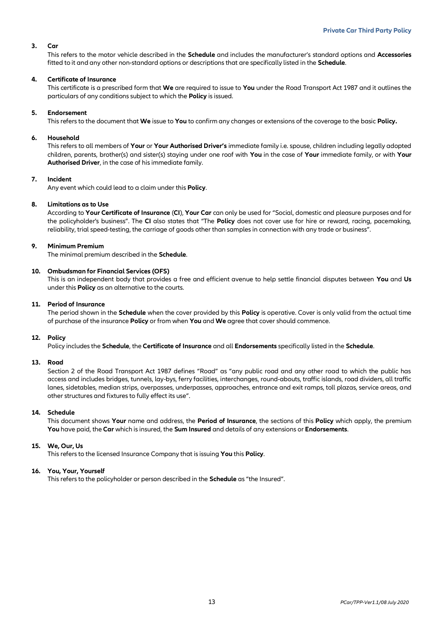#### **3. Car**

This refers to the motor vehicle described in the **Schedule** and includes the manufacturer's standard options and **Accessories** fitted to it and any other non-standard options or descriptions that are specifically listed in the **Schedule**.

#### **4. Certificate of Insurance**

This certificate is a prescribed form that **We** are required to issue to **You** under the Road Transport Act 1987 and it outlines the particulars of any conditions subject to which the **Policy** is issued.

#### **5. Endorsement**

This refers to the document that **We** issue to **You** to confirm any changes or extensions of the coverage to the basic **Policy.**

#### **6. Household**

This refers to all members of **Your** or **Your Authorised Driver's** immediate family i.e. spouse, children including legally adopted children, parents, brother(s) and sister(s) staying under one roof with **You** in the case of **Your** immediate family, or with **Your Authorised Driver**, in the case of his immediate family.

#### **7. Incident**

Any event which could lead to a claim under this **Policy**.

#### **8. Limitations as to Use**

According to **Your Certificate of Insurance** (**CI**), **Your Car** can only be used for "Social, domestic and pleasure purposes and for the policyholder's business". The **CI** also states that "The **Policy** does not cover use for hire or reward, racing, pacemaking, reliability, trial speed-testing, the carriage of goods other than samples in connection with any trade or business".

#### **9. Minimum Premium**

The minimal premium described in the **Schedule**.

#### **10. Ombudsman for Financial Services (OFS)**

This is an independent body that provides a free and efficient avenue to help settle financial disputes between **You** and **Us** under this **Policy** as an alternative to the courts.

#### **11. Period of Insurance**

The period shown in the **Schedule** when the cover provided by this **Policy** is operative. Cover is only valid from the actual time of purchase of the insurance **Policy** or from when **You** and **We** agree that cover should commence.

#### **12. Policy**

Policy includes the **Schedule**, the **Certificate of Insurance** and all **Endorsements** specifically listed in the **Schedule**.

#### **13. Road**

Section 2 of the Road Transport Act 1987 defines "Road" as "any public road and any other road to which the public has access and includes bridges, tunnels, lay-bys, ferry facilities, interchanges, round-abouts, traffic islands, road dividers, all traffic lanes, sidetables, median strips, overpasses, underpasses, approaches, entrance and exit ramps, toll plazas, service areas, and other structures and fixtures to fully effect its use".

#### **14. Schedule**

This document shows **Your** name and address, the **Period of Insurance**, the sections of this **Policy** which apply, the premium **You** have paid, the **Car** which is insured, the **Sum Insured** and details of any extensions or **Endorsements**.

#### **15. We, Our, Us**

This refers to the licensed Insurance Company that is issuing **You** this **Policy**.

#### **16. You, Your, Yourself**

This refers to the policyholder or person described in the **Schedule** as "the Insured".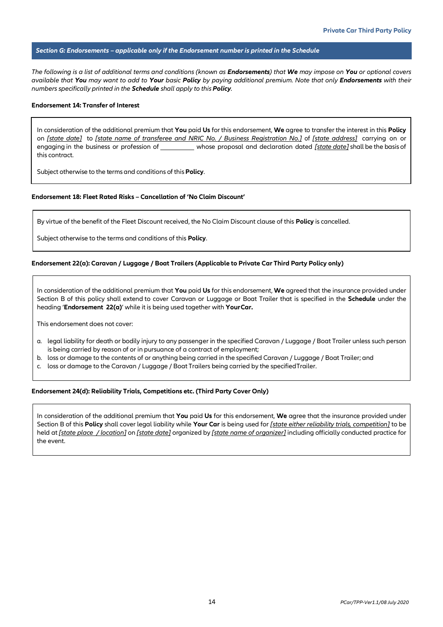#### *Section G: Endorsements – applicable only if the Endorsement number is printed in the Schedule*

*The following is a list of additional terms and conditions (known as Endorsements) that We may impose on You or optional covers available that You may want to add to Your basic Policy by paying additional premium. Note that only Endorsements with their numbers specifically printed in the Schedule shall apply to this Policy.*

#### **Endorsement 14: Transfer of Interest**

In consideration of the additional premium that **You** paid **Us** for this endorsement, **We** agree to transfer the interest in this **Policy** on *[state date]* to *[state name of transferee and NRIC No. / Business Registration No.]* of *[state address]* carrying on or engaging in the business or profession of whose proposal and declaration dated *[state date]* shall be the basis of this contract.

Subject otherwise to the terms and conditions of this**Policy**.

#### **Endorsement 18: Fleet Rated Risks – Cancellation of 'No Claim Discount'**

By virtue of the benefit of the Fleet Discount received, the No Claim Discount clause of this **Policy** is cancelled.

Subject otherwise to the terms and conditions of this **Policy**.

#### **Endorsement 22(a): Caravan / Luggage / Boat Trailers (Applicable to Private Car Third Party Policy only)**

In consideration of the additional premium that **You** paid **Us** for this endorsement, **We** agreed that the insurance provided under Section B of this policy shall extend to cover Caravan or Luggage or Boat Trailer that is specified in the **Schedule** under the heading '**Endorsement 22(a)**' while it is being used together with **YourCar.**

This endorsement does not cover:

- a. legal liability for death or bodily injury to any passenger in the specified Caravan / Luggage / Boat Trailer unless such person is being carried by reason of or in pursuance of a contract of employment;
- b. loss or damage to the contents of or anything being carried in the specified Caravan / Luggage / Boat Trailer; and
- c. loss or damage to the Caravan / Luggage / Boat Trailers being carried by the specifiedTrailer.

#### **Endorsement 24(d): Reliability Trials, Competitions etc. (Third Party Cover Only)**

In consideration of the additional premium that **You** paid **Us** for this endorsement, **We** agree that the insurance provided under Section B of this **Policy** shall cover legal liability while **Your Car** is being used for *[state either reliability trials, competition]* to be held at *[state place / location]* on *[state date]* organized by *[state name of organizer]* including officially conducted practice for the event.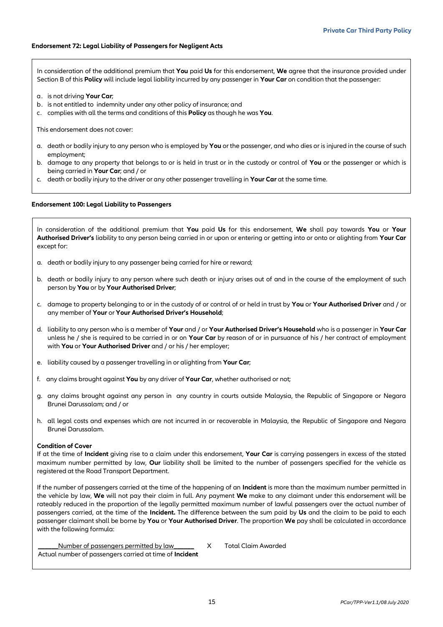#### **Endorsement 72: Legal Liability of Passengers for Negligent Acts**

In consideration of the additional premium that **You** paid **Us** for this endorsement, **We** agree that the insurance provided under Section B of this **Policy** will include legal liability incurred by any passenger in **Your Car** on condition that the passenger:

- a. is not driving **Your Car**;
- b. is not entitled to indemnity under any other policy of insurance; and
- c. complies with all the terms and conditions of this **Policy** as though he was **You**.

This endorsement does not cover:

- a. death or bodily injury to any person who is employed by **You** or the passenger, and who dies or is injured in the course of such employment;
- b. damage to any property that belongs to or is held in trust or in the custody or control of **You** or the passenger or which is being carried in **Your Car**; and / or
- c. death or bodily injury to the driver or any other passenger travelling in **Your Car** at the same time.

#### **Endorsement 100: Legal Liability to Passengers**

In consideration of the additional premium that **You** paid **Us** for this endorsement, **We** shall pay towards **You** or **Your Authorised Driver's** liability to any person being carried in or upon or entering or getting into or onto or alighting from **Your Car**  except for:

- a. death or bodily injury to any passenger being carried for hire or reward;
- b. death or bodily injury to any person where such death or injury arises out of and in the course of the employment of such person by **You** or by **Your Authorised Driver**;
- c. damage to property belonging to or in the custody of or control of or held in trust by **You** or **Your Authorised Driver** and / or any member of **Your** or **Your Authorised Driver's Household**;
- d. liability to any person who is a member of **Your** and / or **Your Authorised Driver's Household** who is a passenger in **Your Car** unless he / she is required to be carried in or on **Your Car** by reason of or in pursuance of his / her contract of employment with **You** or **Your Authorised Driver** and / or his / her employer;
- e. liability caused by a passenger travelling in or alighting from **Your Car**;
- f. any claims brought against **You** by any driver of **Your Car**, whether authorised or not;
- g. any claims brought against any person in any country in courts outside Malaysia, the Republic of Singapore or Negara Brunei Darussalam; and / or
- h. all legal costs and expenses which are not incurred in or recoverable in Malaysia, the Republic of Singapore and Negara Brunei Darussalam.

#### **Condition of Cover**

If at the time of **Incident** giving rise to a claim under this endorsement, **Your Car** is carrying passengers in excess of the stated maximum number permitted by law, **Our** liability shall be limited to the number of passengers specified for the vehicle as registered at the Road Transport Department.

If the number of passengers carried at the time of the happening of an **Incident** is more than the maximum number permitted in the vehicle by law, **We** will not pay their claim in full. Any payment **We** make to any claimant under this endorsement will be rateably reduced in the proportion of the legally permitted maximum number of lawful passengers over the actual number of passengers carried, at the time of the **Incident.** The difference between the sum paid by **Us** and the claim to be paid to each passenger claimant shall be borne by **You** or **Your Authorised Driver**. The proportion **We** pay shall be calculated in accordance with the following formula:

Number of passengers permitted by law \_\_\_\_\_\_ X Total Claim Awarded Actual number of passengers carried at time of **Incident**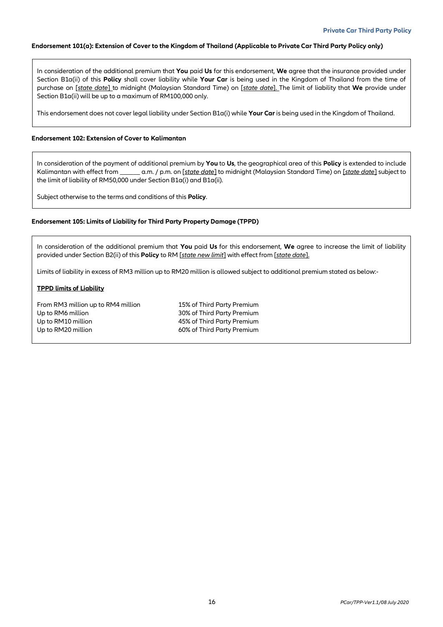#### **Endorsement 101(a): Extension of Cover to the Kingdom of Thailand (Applicable to Private Car Third Party Policy only)**

In consideration of the additional premium that **You** paid **Us** for this endorsement, **We** agree that the insurance provided under Section B1a(ii) of this **Policy** shall cover liability while **Your Car** is being used in the Kingdom of Thailand from the time of purchase on [*state date*] to midnight (Malaysian Standard Time) on [*state date*]. The limit of liability that **We** provide under Section B1a(ii) will be up to a maximum of RM100,000 only.

This endorsement does not cover legal liability under Section B1a(i) while **Your Car** is being used in the Kingdom of Thailand.

#### **Endorsement 102: Extension of Cover to Kalimantan**

In consideration of the payment of additional premium by **You** to **Us**, the geographical area of this **Policy** is extended to include Kalimantan with effect from \_\_\_\_\_\_ a.m. / p.m. on [*state date*] to midnight (Malaysian Standard Time) on [*state date*] subject to the limit of liability of RM50,000 under Section B1a(i) and B1a(ii).

Subject otherwise to the terms and conditions of this **Policy**.

#### **Endorsement 105: Limits of Liability for Third Party Property Damage (TPPD)**

In consideration of the additional premium that **You** paid **Us** for this endorsement, **We** agree to increase the limit of liability provided under Section B2(ii) of this **Policy** to RM [*state new limit*] with effect from [*state date*].

Limits of liability in excess of RM3 million up to RM20 million is allowed subject to additional premium stated as below:-

#### **TPPD limits of Liability**

From RM3 million up to RM4 million 15% of Third Party Premium Up to RM6 million 30% of Third Party Premium Up to RM10 million 45% of Third Party Premium Up to RM20 million 60% of Third Party Premium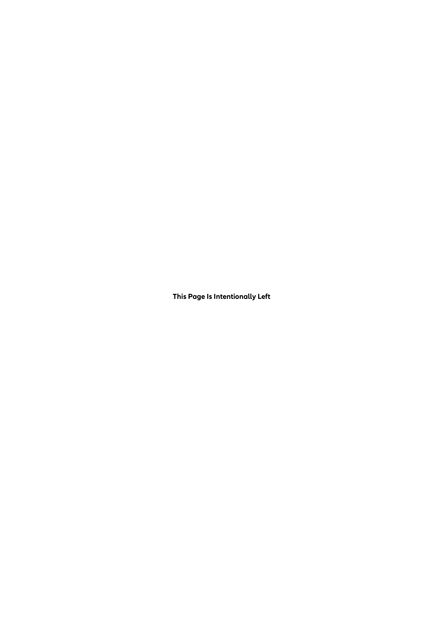**This Page Is Intentionally Left**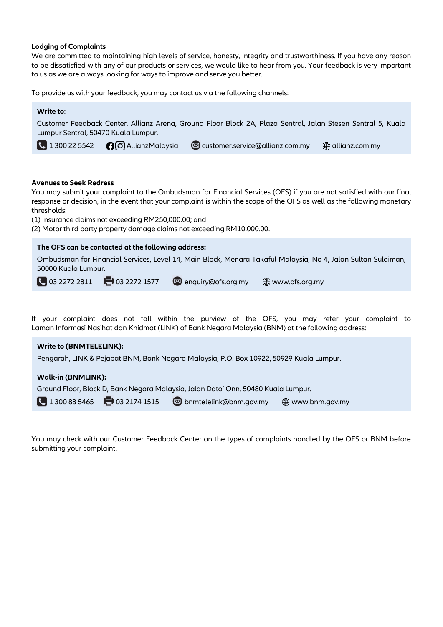## **Lodging of Complaints**

We are committed to maintaining high levels of service, honesty, integrity and trustworthiness. If you have any reason to be dissatisfied with any of our products or services, we would like to hear from you. Your feedback is very important to us as we are always looking for ways to improve and serve you better.

To provide us with your feedback, you may contact us via the following channels:

| Write to:                                                                                                                                                                                                                                                                                                                                                                                                                          |  |  |  |
|------------------------------------------------------------------------------------------------------------------------------------------------------------------------------------------------------------------------------------------------------------------------------------------------------------------------------------------------------------------------------------------------------------------------------------|--|--|--|
| Customer Feedback Center, Allianz Arena, Ground Floor Block 2A, Plaza Sentral, Jalan Stesen Sentral 5, Kuala<br>Lumpur Sentral, 50470 Kuala Lumpur.                                                                                                                                                                                                                                                                                |  |  |  |
| $\bigcup$ 1 300 22 5542<br><b>O</b> O AllianzMalaysia<br>customer.service@allianz.com.my<br>∰ allianz.com.my                                                                                                                                                                                                                                                                                                                       |  |  |  |
|                                                                                                                                                                                                                                                                                                                                                                                                                                    |  |  |  |
| <b>Avenues to Seek Redress</b><br>You may submit your complaint to the Ombudsman for Financial Services (OFS) if you are not satisfied with our final<br>response or decision, in the event that your complaint is within the scope of the OFS as well as the following monetary<br>thresholds:<br>(1) Insurance claims not exceeding RM250,000.00; and<br>(2) Motor third party property damage claims not exceeding RM10,000.00. |  |  |  |
| The OFS can be contacted at the following address:<br>Ombudsman for Financial Services, Level 14, Main Block, Menara Takaful Malaysia, No 4, Jalan Sultan Sulaiman,<br>50000 Kuala Lumpur.<br>$\bigcup$ 03 2272 2811 $\bigoplus$ 03 2272 1577<br><b>S</b> enquiry@ofs.org.my<br>www.ofs.org.my                                                                                                                                     |  |  |  |
| If your complaint does not fall within the purview of the OFS, you may refer your complaint to<br>Laman Informasi Nasihat dan Khidmat (LINK) of Bank Negara Malaysia (BNM) at the following address:                                                                                                                                                                                                                               |  |  |  |
| <b>Write to (BNMTELELINK):</b><br>Pengarah, LINK & Pejabat BNM, Bank Negara Malaysia, P.O. Box 10922, 50929 Kuala Lumpur.                                                                                                                                                                                                                                                                                                          |  |  |  |
| <b>Walk-in (BNMLINK):</b>                                                                                                                                                                                                                                                                                                                                                                                                          |  |  |  |
| Ground Floor, Block D, Bank Negara Malaysia, Jalan Dato' Onn, 50480 Kuala Lumpur.                                                                                                                                                                                                                                                                                                                                                  |  |  |  |
| 骨 03 2174 1515<br>$\begin{array}{ c c }\n\hline\n\end{array}$ 1 300 88 5465<br>bnmtelelink@bnm.gov.my<br>www.bnm.gov.my                                                                                                                                                                                                                                                                                                            |  |  |  |

You may check with our Customer Feedback Center on the types of complaints handled by the OFS or BNM before submitting your complaint.